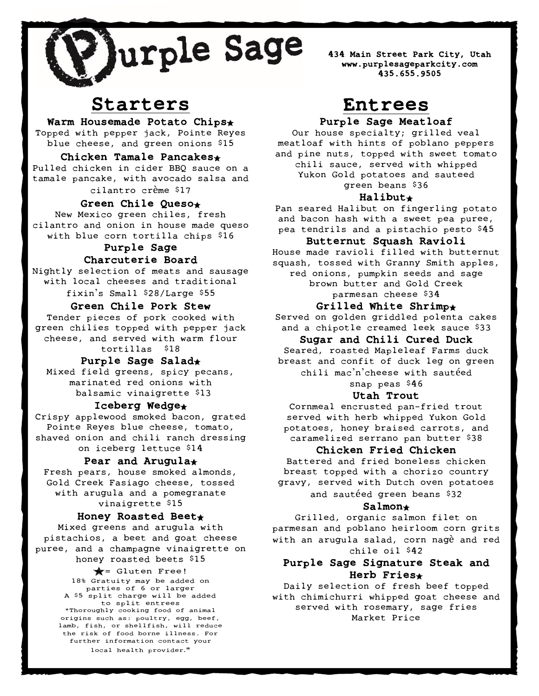

434 Main Street Park City, Utah www.purplesageparkcity.com 435.655.9505

# Starters

Warm Housemade Potato Chips\* Topped with pepper jack, Pointe Reyes

blue cheese, and green onions \$15

#### Chicken Tamale Pancakes Pulled chicken in cider BBQ sauce on a tamale pancake, with avocado salsa and cilantro crème \$17

Green Chile Queso

New Mexico green chiles, fresh cilantro and onion in house made queso with blue corn tortilla chips \$16

# Purple Sage Charcuterie Board

Nightly selection of meats and sausage with local cheeses and traditional fixin's Small \$28/Large \$55

# Green Chile Pork Stew

green chilies topped with pepper jack Tender pieces of pork cooked with cheese, and served with warm flour tortillas \$18

# Purple Sage Salad

Mixed field greens, spicy pecans, marinated red onions with balsamic vinaigrette \$13

# Iceberg Wedge\*

Crispy applewood smoked bacon, grated Pointe Reyes blue cheese, tomato, shaved onion and chili ranch dressing on iceberg lettuce \$14

#### Pear and Arugula\*

Fresh pears, house smoked almonds, Gold Creek Fasiago cheese, tossed with arugula and a pomegranate vinaigrette \$15

#### Honey Roasted Beet

Mixed greens and arugula with pistachios, a beet and goat cheese puree, and a champagne vinaigrette on honey roasted beets \$15

> $\bigstar$  = Gluten Free! 18% Gratuity may be added on parties of 6 or larger A \$5 split charge will be added to split entrees \*Thoroughly cooking food of animal origins such as: poultry, egg, beef, lamb, fish, or shellfish, will reduce the risk of food borne illness. For further information contact your local health provider.\*

# Entrees

# Purple Sage Meatloaf

Our house specialty; grilled veal meatloaf with hints of poblano peppers and pine nuts, topped with sweet tomato chili sauce, served with whipped Yukon Gold potatoes and sauteed green beans \$36

#### Halibut

Pan seared Halibut on fingerling potato and bacon hash with a sweet pea puree, pea tendrils and a pistachio pesto \$45

#### Butternut Squash Ravioli

House made ravioli filled with butternut squash, tossed with Granny Smith apples, red onions, pumpkin seeds and sage brown butter and Gold Creek parmesan cheese \$34

#### Grilled White Shrimp $\star$

Served on golden griddled polenta cakes and a chipotle creamed leek sauce \$33

#### Sugar and Chili Cured Duck

Seared, roasted Mapleleaf Farms duck breast and confit of duck leg on green chili mac'n'cheese with sautéed

snap peas \$46

# Utah Trout

Cornmeal encrusted pan-fried trout served with herb whipped Yukon Gold potatoes, honey braised carrots, and caramelized serrano pan butter \$38

#### Chicken Fried Chicken

Battered and fried boneless chicken breast topped with a chorizo country gravy, served with Dutch oven potatoes

and sautéed green beans \$32

#### Salmon

Grilled, organic salmon filet on parmesan and poblano heirloom corn grits with an arugula salad, corn nagè and red chile oil \$42

# Purple Sage Signature Steak and Herb Fries

Daily selection of fresh beef topped with chimichurri whipped goat cheese and served with rosemary, sage fries Market Price

J